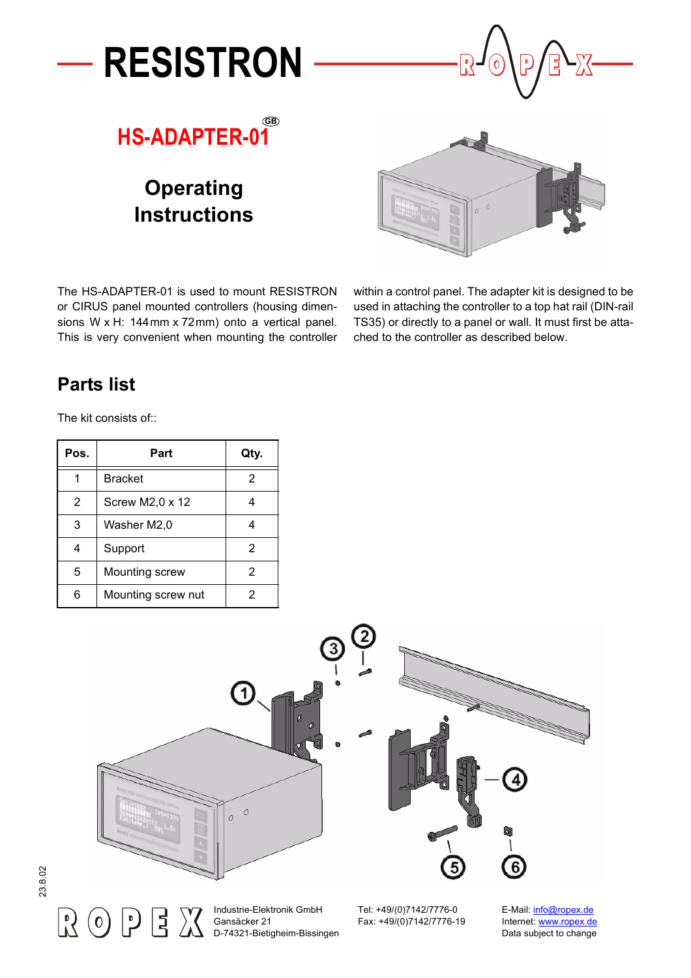

# **Operating Instructions**



The HS-ADAPTER-01 is used to mount RESISTRON or CIRUS panel mounted controllers (housing dimensions W x H: 144mm x 72mm) onto a vertical panel. This is very convenient when mounting the controller within a control panel. The adapter kit is designed to be used in attaching the controller to a top hat rail (DIN-rail TS35) or directly to a panel or wall. It must first be attached to the controller as described below.

#### **Parts list**

The kit consists of::

| Pos. | Part                   | Qty. |
|------|------------------------|------|
|      | <b>Bracket</b>         | 2    |
| 2    | Screw M2,0 $\times$ 12 |      |
| 3    | Washer M2,0            | 4    |
|      | Support                | 2    |
| 5    | Mounting screw         | 2    |
|      | Mounting screw nut     | 2    |



 $\vert \cdot \rangle$ 

11

D-74321-Bietigheim-Bissingen

Fax: +49/(0)7142/7776-19 Internet: [www.ropex.de](http://www.ropex.de)<br>Data subject to change